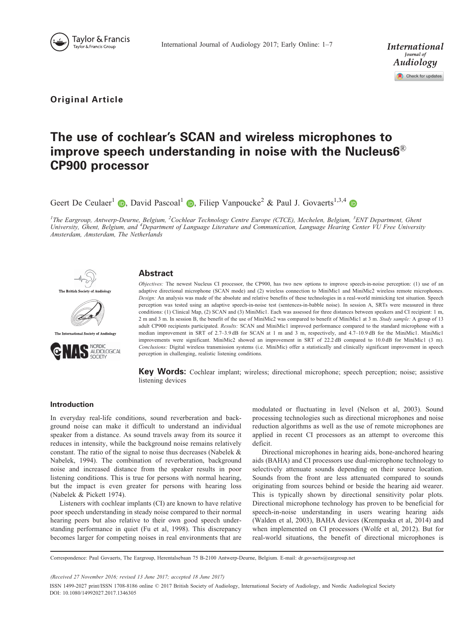



Original Article

# The use of cochlear's SCAN and wireless microphones to improve speech understanding in noise with the Nucleus6 $^{\circledR}$ CP900 processor

Geert De Ceulaer<sup>1</sup> **D**, David Pascoal<sup>1</sup> **D**, Filiep Vanpoucke<sup>2</sup> & Paul J. Govaerts<sup>1,3,4</sup> **D** 

<sup>1</sup>The Eargroup, Antwerp-Deurne, Belgium, <sup>2</sup>Cochlear Technology Centre Europe (CTCE), Mechelen, Belgium, <sup>3</sup>ENT Department, Ghent University, Ghent, Belgium, and <sup>4</sup>Department of Language Literature and Communication, Language Hearing Center VU Free University Amsterdam, Amsterdam, The Netherlands



# Abstract



The International Society of Audiology



Objectives: The newest Nucleus CI processor, the CP900, has two new options to improve speech-in-noise perception: (1) use of an adaptive directional microphone (SCAN mode) and (2) wireless connection to MiniMic1 and MiniMic2 wireless remote microphones. Design: An analysis was made of the absolute and relative benefits of these technologies in a real-world mimicking test situation. Speech perception was tested using an adaptive speech-in-noise test (sentences-in-babble noise). In session A, SRTs were measured in three conditions: (1) Clinical Map, (2) SCAN and (3) MiniMic1. Each was assessed for three distances between speakers and CI recipient: 1 m, 2 m and 3 m. In session B, the benefit of the use of MiniMic2 was compared to benefit of MiniMic1 at 3 m. Study sample: A group of 13 adult CP900 recipients participated. Results: SCAN and MiniMic1 improved performance compared to the standard microphone with a median improvement in SRT of 2.7–3.9 dB for SCAN at 1 m and 3 m, respectively, and 4.7–10.9 dB for the MiniMic1. MiniMic1 improvements were significant. MiniMic2 showed an improvement in SRT of 22.2 dB compared to 10.0 dB for MiniMic1 (3 m). Conclusions: Digital wireless transmission systems (i.e. MiniMic) offer a statistically and clinically significant improvement in speech perception in challenging, realistic listening conditions.

Key Words: Cochlear implant; wireless; directional microphone; speech perception; noise; assistive listening devices

# Introduction

In everyday real-life conditions, sound reverberation and background noise can make it difficult to understand an individual speaker from a distance. As sound travels away from its source it reduces in intensity, while the background noise remains relatively constant. The ratio of the signal to noise thus decreases (Nabelek & Nabelek, [1994\)](#page-6-0). The combination of reverberation, background noise and increased distance from the speaker results in poor listening conditions. This is true for persons with normal hearing, but the impact is even greater for persons with hearing loss (Nabelek & Pickett [1974\)](#page-6-0).

Listeners with cochlear implants (CI) are known to have relative poor speech understanding in steady noise compared to their normal hearing peers but also relative to their own good speech understanding performance in quiet (Fu et al, [1998](#page-6-0)). This discrepancy becomes larger for competing noises in real environments that are modulated or fluctuating in level (Nelson et al, [2003\)](#page-6-0). Sound processing technologies such as directional microphones and noise reduction algorithms as well as the use of remote microphones are applied in recent CI processors as an attempt to overcome this deficit.

Directional microphones in hearing aids, bone-anchored hearing aids (BAHA) and CI processors use dual-microphone technology to selectively attenuate sounds depending on their source location. Sounds from the front are less attenuated compared to sounds originating from sources behind or beside the hearing aid wearer. This is typically shown by directional sensitivity polar plots. Directional microphone technology has proven to be beneficial for speech-in-noise understanding in users wearing hearing aids (Walden et al, [2003](#page-6-0)), BAHA devices (Krempaska et al, [2014](#page-6-0)) and when implemented on CI processors (Wolfe et al, [2012](#page-6-0)). But for real-world situations, the benefit of directional microphones is

Correspondence: Paul Govaerts, The Eargroup, Herentalsebaan 75 B-2100 Antwerp-Deurne, Belgium. E-mail: dr.govaerts@eargroup.net

(Received 27 November 2016; revised 13 June 2017; accepted 18 June 2017)

ISSN 1499-2027 print/ISSN 1708-8186 online  $© 2017$  British Society of Audiology, International Society of Audiology, and Nordic Audiological Society DOI: 10.1080/14992027.2017.1346305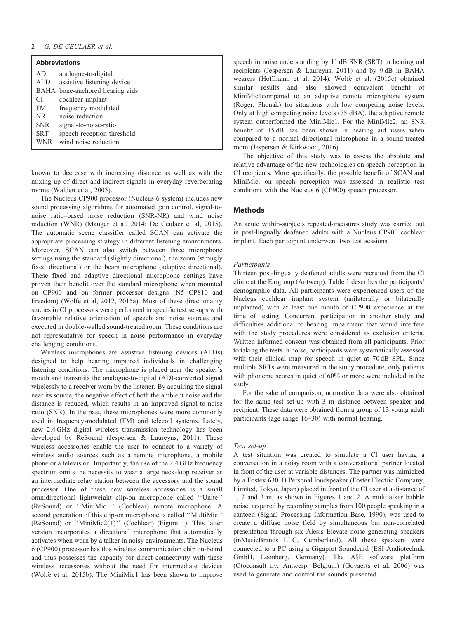| <b>Abbreviations</b> |                                 |  |  |  |  |  |  |  |
|----------------------|---------------------------------|--|--|--|--|--|--|--|
| AD                   | analogue-to-digital             |  |  |  |  |  |  |  |
| ALD                  | assistive listening device      |  |  |  |  |  |  |  |
|                      | BAHA bone-anchored hearing aids |  |  |  |  |  |  |  |
| CI                   | cochlear implant                |  |  |  |  |  |  |  |
| FM                   | frequency modulated             |  |  |  |  |  |  |  |
| NR.                  | noise reduction                 |  |  |  |  |  |  |  |
| <b>SNR</b>           | signal-to-noise-ratio           |  |  |  |  |  |  |  |
| <b>SRT</b>           | speech reception threshold      |  |  |  |  |  |  |  |
| WNR                  | wind noise reduction            |  |  |  |  |  |  |  |

known to decrease with increasing distance as well as with the mixing up of direct and indirect signals in everyday reverberating rooms (Walden et al, [2003\)](#page-6-0).

The Nucleus CP900 processor (Nucleus 6 system) includes new sound processing algorithms for automated gain control, signal-tonoise ratio–based noise reduction (SNR-NR) and wind noise reduction (WNR) (Mauger et al, [2014;](#page-6-0) De Ceulaer et al, [2015](#page-6-0)). The automatic scene classifier called SCAN can activate the appropriate processing strategy in different listening environments. Moreover, SCAN can also switch between three microphone settings using the standard (slightly directional), the zoom (strongly fixed directional) or the beam microphone (adaptive directional). These fixed and adaptive directional microphone settings have proven their benefit over the standard microphone when mounted on CP900 and on former processor designs (N5 CP810 and Freedom) (Wolfe et al, [2012](#page-6-0), [2015a\)](#page-6-0). Most of these directionality studies in CI processors were performed in specific test set-ups with favourable relative orientation of speech and noise sources and executed in double-walled sound-treated room. These conditions are not representative for speech in noise performance in everyday challenging conditions.

Wireless microphones are assistive listening devices (ALDs) designed to help hearing impaired individuals in challenging listening conditions. The microphone is placed near the speaker's mouth and transmits the analogue-to-digital (AD)-converted signal wirelessly to a receiver worn by the listener. By acquiring the signal near its source, the negative effect of both the ambient noise and the distance is reduced, which results in an improved signal-to-noise ratio (SNR). In the past, these microphones were more commonly used in frequency-modulated (FM) and telecoil systems. Lately, new 2.4 GHz digital wireless transmission technology has been developed by ReSound (Jespersen & Laureyns, [2011\)](#page-6-0). These wireless accessories enable the user to connect to a variety of wireless audio sources such as a remote microphone, a mobile phone or a television. Importantly, the use of the 2.4 GHz frequency spectrum omits the necessity to wear a large neck-loop receiver as an intermediate relay station between the accessory and the sound processor. One of these new wireless accessories is a small omnidirectional lightweight clip-on microphone called ''Unite'' (ReSound) or ''MiniMic1'' (Cochlear) remote microphone. A second generation of this clip-on microphone is called ''MultiMic'' (ReSound) or ''MiniMic2(+)'' (Cochlear) ([Figure 1](#page-2-0)). This latter version incorporates a directional microphone that automatically activates when worn by a talker in noisy environments. The Nucleus 6 (CP900) processor has this wireless communication chip on-board and thus possesses the capacity for direct connectivity with these wireless accessories without the need for intermediate devices (Wolfe et al, [2015b\)](#page-6-0). The MiniMic1 has been shown to improve

speech in noise understanding by 11 dB SNR (SRT) in hearing aid recipients (Jespersen & Laureyns, [2011\)](#page-6-0) and by 9 dB in BAHA wearers (Hoffmann et al, [2014](#page-6-0)). Wolfe et al. [\(2015c](#page-6-0)) obtained similar results and also showed equivalent benefit of MiniMic1compared to an adaptive remote microphone system (Roger, Phonak) for situations with low competing noise levels. Only at high competing noise levels (75 dBA), the adaptive remote system outperformed the MiniMic1. For the MiniMic2, an SNR benefit of 15 dB has been shown in hearing aid users when compared to a normal directional microphone in a sound-treated room (Jespersen & Kirkwood, [2016](#page-6-0)).

The objective of this study was to assess the absolute and relative advantage of the new technologies on speech perception in CI recipients. More specifically, the possible benefit of SCAN and MiniMic, on speech perception was assessed in realistic test conditions with the Nucleus 6 (CP900) speech processor.

# **Methods**

An acute within-subjects repeated-measures study was carried out in post-lingually deafened adults with a Nucleus CP900 cochlear implant. Each participant underwent two test sessions.

#### Participants

Thirteen post-lingually deafened adults were recruited from the CI clinic at the Eargroup (Antwerp). [Table 1 d](#page-2-0)escribes the participants' demographic data. All participants were experienced users of the Nucleus cochlear implant system (unilaterally or bilaterally implanted) with at least one month of CP900 experience at the time of testing. Concurrent participation in another study and difficulties additional to hearing impairment that would interfere with the study procedures were considered as exclusion criteria. Written informed consent was obtained from all participants. Prior to taking the tests in noise, participants were systematically assessed with their clinical map for speech in quiet at 70 dB SPL. Since multiple SRTs were measured in the study procedure, only patients with phoneme scores in quiet of 60% or more were included in the study.

For the sake of comparison, normative data were also obtained for the same test set-up with 3 m distance between speaker and recipient. These data were obtained from a group of 13 young adult participants (age range 16–30) with normal hearing.

#### Test set-up

A test situation was created to simulate a CI user having a conversation in a noisy room with a conversational partner located in front of the user at variable distances. The partner was mimicked by a Fostex 6301B Personal loudspeaker (Foster Electric Company, Limited, Tokyo, Japan) placed in front of the CI user at a distance of 1, 2 and 3 m, as shown in [Figures 1](#page-2-0) and [2](#page-3-0). A multitalker babble noise, acquired by recording samples from 100 people speaking in a canteen (Signal Processing Information Base, 1990), was used to create a diffuse noise field by simultaneous but non-correlated presentation through six Alesis Elevate noise generating speakers (inMusicBrands LLC, Cumberland). All these speakers were connected to a PC using a Gigaport Soundcard (ESI Audiotechnik GmbH, Leonberg, Germany). The A§E software platform (Otoconsult nv, Antwerp, Belgium) (Govaerts et al, [2006](#page-6-0)) was used to generate and control the sounds presented.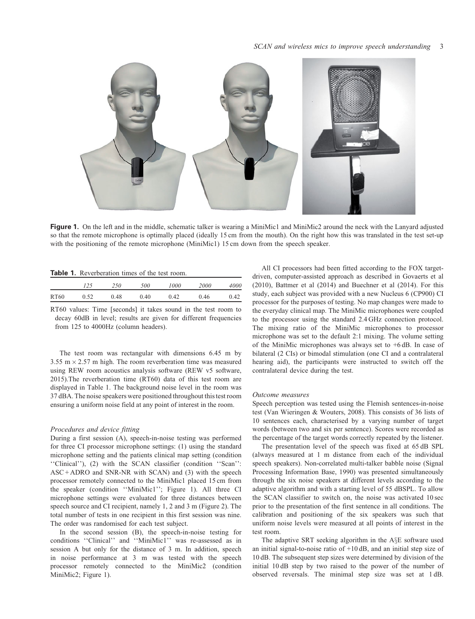<span id="page-2-0"></span>

Figure 1. On the left and in the middle, schematic talker is wearing a MiniMic1 and MiniMic2 around the neck with the Lanyard adjusted so that the remote microphone is optimally placed (ideally 15 cm from the mouth). On the right how this was translated in the test set-up with the positioning of the remote microphone (MiniMic1) 15 cm down from the speech speaker.

| <b>Table 1.</b> Reverberation times of the test room. |
|-------------------------------------------------------|
|-------------------------------------------------------|

|              |      | 500  | 1000 | 2000 | 4000 |
|--------------|------|------|------|------|------|
| RT60<br>0.52 | 0.48 | 0.40 | 0.42 | 0.46 | 0.42 |

RT60 values: Time [seconds] it takes sound in the test room to decay 60dB in level; results are given for different frequencies from 125 to 4000Hz (column headers).

The test room was rectangular with dimensions 6.45 m by  $3.55 \text{ m} \times 2.57 \text{ m}$  high. The room reverberation time was measured using REW room acoustics analysis software (REW v5 software, 2015).The reverberation time (RT60) data of this test room are displayed in Table 1. The background noise level in the room was 37 dBA. The noise speakers were positioned throughout this test room ensuring a uniform noise field at any point of interest in the room.

# Procedures and device fitting

During a first session (A), speech-in-noise testing was performed for three CI processor microphone settings: (1) using the standard microphone setting and the patients clinical map setting (condition ''Clinical''), (2) with the SCAN classifier (condition ''Scan'':  $ASC + ADRO$  and SNR-NR with SCAN) and (3) with the speech processor remotely connected to the MiniMic1 placed 15 cm from the speaker (condition ''MiniMic1''; Figure 1). All three CI microphone settings were evaluated for three distances between speech source and CI recipient, namely 1, 2 and 3 m [\(Figure 2](#page-3-0)). The total number of tests in one recipient in this first session was nine. The order was randomised for each test subject.

In the second session (B), the speech-in-noise testing for conditions ''Clinical'' and ''MiniMic1'' was re-assessed as in session A but only for the distance of 3 m. In addition, speech in noise performance at 3 m was tested with the speech processor remotely connected to the MiniMic2 (condition MiniMic2; Figure 1).

All CI processors had been fitted according to the FOX targetdriven, computer-assisted approach as described in Govaerts et al ([2010\)](#page-6-0), Battmer et al [\(2014](#page-6-0)) and Buechner et al [\(2014](#page-6-0)). For this study, each subject was provided with a new Nucleus 6 (CP900) CI processor for the purposes of testing. No map changes were made to the everyday clinical map. The MiniMic microphones were coupled to the processor using the standard 2.4 GHz connection protocol. The mixing ratio of the MiniMic microphones to processor microphone was set to the default 2:1 mixing. The volume setting of the MiniMic microphones was always set to +6 dB. In case of bilateral (2 CIs) or bimodal stimulation (one CI and a contralateral hearing aid), the participants were instructed to switch off the contralateral device during the test.

#### Outcome measures

Speech perception was tested using the Flemish sentences-in-noise test (Van Wieringen & Wouters, [2008](#page-6-0)). This consists of 36 lists of 10 sentences each, characterised by a varying number of target words (between two and six per sentence). Scores were recorded as the percentage of the target words correctly repeated by the listener.

The presentation level of the speech was fixed at 65 dB SPL (always measured at 1 m distance from each of the individual speech speakers). Non-correlated multi-talker babble noise (Signal Processing Information Base, 1990) was presented simultaneously through the six noise speakers at different levels according to the adaptive algorithm and with a starting level of 55 dBSPL. To allow the SCAN classifier to switch on, the noise was activated 10 sec prior to the presentation of the first sentence in all conditions. The calibration and positioning of the six speakers was such that uniform noise levels were measured at all points of interest in the test room.

The adaptive SRT seeking algorithm in the  $A\S E$  software used an initial signal-to-noise ratio of +10 dB, and an initial step size of 10 dB. The subsequent step sizes were determined by division of the initial 10 dB step by two raised to the power of the number of observed reversals. The minimal step size was set at 1 dB.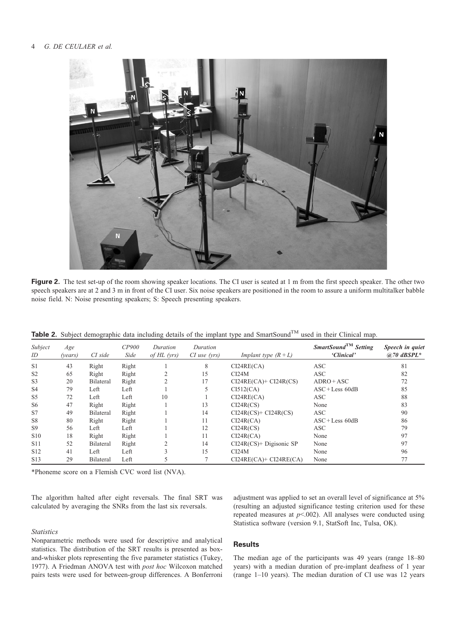#### <span id="page-3-0"></span>4 G. DE CEULAER et al.



Figure 2. The test set-up of the room showing speaker locations. The CI user is seated at 1 m from the first speech speaker. The other two speech speakers are at 2 and 3 m in front of the CI user. Six noise speakers are positioned in the room to assure a uniform multitalker babble noise field. N: Noise presenting speakers; S: Speech presenting speakers.

| Table 2. Subject demographic data including details of the implant type and SmartSound™ used in their Clinical map. |
|---------------------------------------------------------------------------------------------------------------------|
|---------------------------------------------------------------------------------------------------------------------|

| Subject<br>ID   | Age<br>(vears) | CI side   | CP900<br>Side | Duration<br>of $HL$ (yrs) | Duration<br>$CI$ use (yrs) | Implant type $(R + L)$     | SmartSound <sup>TM</sup> Setting<br>'Clinical' | Speech in quiet<br>$@70$ dBSPL* |
|-----------------|----------------|-----------|---------------|---------------------------|----------------------------|----------------------------|------------------------------------------------|---------------------------------|
| S <sub>1</sub>  | 43             | Right     | Right         |                           | 8                          | CI24RE(CA)                 | <b>ASC</b>                                     | 81                              |
| S <sub>2</sub>  | 65             | Right     | Right         |                           | 15                         | CI24M                      | <b>ASC</b>                                     | 82                              |
| S <sub>3</sub>  | 20             | Bilateral | Right         |                           | 17                         | $CI24RE(CA) + CI24R(CS)$   | $ADRO+ASC$                                     | 72                              |
| S <sub>4</sub>  | 79             | Left      | Left          |                           |                            | CI512(CA)                  | $\text{ASC} + \text{Less} 60\text{dB}$         | 85                              |
| S <sub>5</sub>  | 72             | Left      | Left          | 10                        |                            | CI24RE(CA)                 | <b>ASC</b>                                     | 88                              |
| S <sub>6</sub>  | 47             | Right     | Right         |                           | 13                         | CI24R(CS)                  | None                                           | 83                              |
| S7              | 49             | Bilateral | Right         |                           | 14                         | $CI24R(CS)$ + $CI24R(CS)$  | <b>ASC</b>                                     | 90                              |
| S <sub>8</sub>  | 80             | Right     | Right         |                           | 11                         | CI24R(CA)                  | $\text{ASC} + \text{Less} 60\text{dB}$         | 86                              |
| S9              | 56             | Left      | Left          |                           | 12                         | CI24R(CS)                  | <b>ASC</b>                                     | 79                              |
| S <sub>10</sub> | 18             | Right     | Right         |                           | 11                         | CI24R(CA)                  | None                                           | 97                              |
| S <sub>11</sub> | 52             | Bilateral | Right         |                           | 14                         | $CI24R(CS)$ + Digisonic SP | None                                           | 97                              |
| S <sub>12</sub> | 41             | Left      | Left          |                           | 15                         | CI24M                      | None                                           | 96                              |
| S <sub>13</sub> | 29             | Bilateral | Left          |                           |                            | $CI24RE(CA) + CI24RE(CA)$  | None                                           |                                 |

\*Phoneme score on a Flemish CVC word list (NVA).

The algorithm halted after eight reversals. The final SRT was calculated by averaging the SNRs from the last six reversals.

adjustment was applied to set an overall level of significance at 5% (resulting an adjusted significance testing criterion used for these repeated measures at  $p<.002$ ). All analyses were conducted using Statistica software (version 9.1, StatSoft Inc, Tulsa, OK).

# **Statistics**

Nonparametric methods were used for descriptive and analytical statistics. The distribution of the SRT results is presented as boxand-whisker plots representing the five parameter statistics (Tukey, [1977](#page-6-0)). A Friedman ANOVA test with post hoc Wilcoxon matched pairs tests were used for between-group differences. A Bonferroni

# **Results**

The median age of the participants was 49 years (range 18–80 years) with a median duration of pre-implant deafness of 1 year (range 1–10 years). The median duration of CI use was 12 years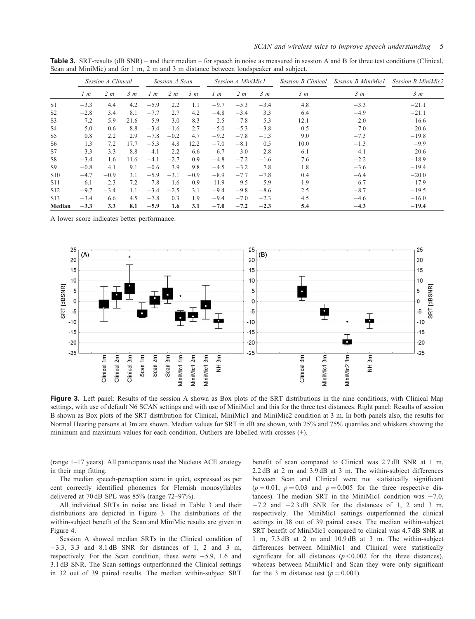Table 3. SRT-results (dB SNR) – and their median – for speech in noise as measured in session A and B for three test conditions (Clinical, Scan and MiniMic) and for 1 m, 2 m and 3 m distance between loudspeaker and subject.

|                 | Session A Clinical |                |      | Session A Scan |                |                | Session A MiniMic1 |                |                | <b>Session B Clinical</b> | <b>Session B MiniMic1</b> | Session B MiniMic2 |
|-----------------|--------------------|----------------|------|----------------|----------------|----------------|--------------------|----------------|----------------|---------------------------|---------------------------|--------------------|
|                 | 1 <sub>m</sub>     | 2 <sub>m</sub> | 3m   | 1~m            | 2 <sub>m</sub> | 3 <sub>m</sub> | 1 <sub>m</sub>     | 2 <sub>m</sub> | 3 <sub>m</sub> | 3m                        | 3 <sub>m</sub>            | 3 <sub>m</sub>     |
| S <sub>1</sub>  | $-3.3$             | 4.4            | 4.2  | $-5.9$         | 2.2            | 1.1            | $-9.7$             | $-5.3$         | $-3.4$         | 4.8                       | $-3.3$                    | $-21.1$            |
| S <sub>2</sub>  | $-2.8$             | 3.4            | 8.1  | $-7.7$         | 2.7            | 4.2            | $-4.8$             | $-3.4$         | 3.3            | 6.4                       | $-4.9$                    | $-21.1$            |
| S <sub>3</sub>  | 7.2                | 5.9            | 21.6 | $-5.9$         | 3.0            | 8.3            | 2.5                | $-7.8$         | 5.3            | 12.1                      | $-2.0$                    | $-16.6$            |
| S <sub>4</sub>  | 5.0                | 0.6            | 8.8  | $-3.4$         | $-1.6$         | 2.7            | $-5.0$             | $-5.3$         | $-3.8$         | 0.5                       | $-7.0$                    | $-20.6$            |
| S <sub>5</sub>  | 0.8                | 2.2            | 2.9  | $-7.8$         | $-0.2$         | 4.7            | $-9.2$             | $-7.8$         | $-1.3$         | 9.0                       | $-7.3$                    | $-19.8$            |
| S <sub>6</sub>  | 1.3                | 7.2            | 17.7 | $-5.3$         | 4.8            | 12.2           | $-7.0$             | $-8.1$         | 0.5            | 10.0                      | $-1.3$                    | $-9.9$             |
| S7              | $-3.3$             | 3.3            | 8.8  | $-4.1$         | 2.2            | 6.6            | $-6.7$             | $-3.0$         | $-2.8$         | 6.1                       | $-4.1$                    | $-20.6$            |
| S <sub>8</sub>  | $-3.4$             | 1.6            | 11.6 | $-4.1$         | $-2.7$         | 0.9            | $-4.8$             | $-7.2$         | $-1.6$         | 7.6                       | $-2.2$                    | $-18.9$            |
| S <sub>9</sub>  | $-0.8$             | 4.1            | 9.1  | $-0.6$         | 3.9            | 9.8            | $-4.5$             | $-3.2$         | 7.8            | 1.8                       | $-3.6$                    | $-19.4$            |
| S <sub>10</sub> | $-4.7$             | $-0.9$         | 3.1  | $-5.9$         | $-3.1$         | $-0.9$         | $-8.9$             | $-7.7$         | $-7.8$         | 0.4                       | $-6.4$                    | $-20.0$            |
| S <sub>11</sub> | $-6.1$             | $-2.3$         | 7.2  | $-7.8$         | 1.6            | $-0.9$         | $-11.9$            | $-9.5$         | $-5.9$         | 1.9                       | $-6.7$                    | $-17.9$            |
| S <sub>12</sub> | $-9.7$             | $-3.4$         | 1.1  | $-3.4$         | $-2.5$         | 3.1            | $-9.4$             | $-9.8$         | $-8.6$         | 2.5                       | $-8.7$                    | $-19.5$            |
| S <sub>13</sub> | $-3.4$             | 6.6            | 4.5  | $-7.8$         | 0.3            | 1.9            | $-9.4$             | $-7.0$         | $-2.3$         | 4.5                       | $-4.6$                    | $-16.0$            |
| Median          | $-3.3$             | 3.3            | 8.1  | $-5.9$         | 1.6            | 3.1            | $-7.0$             | $-7.2$         | $-2.3$         | 5.4                       | $-4.3$                    | $-19.4$            |

A lower score indicates better performance.



Figure 3. Left panel: Results of the session A shown as Box plots of the SRT distributions in the nine conditions, with Clinical Map settings, with use of default N6 SCAN settings and with use of MiniMic1 and this for the three test distances. Right panel: Results of session B shown as Box plots of the SRT distribution for Clinical, MiniMic1 and MiniMic2 condition at 3 m. In both panels also, the results for Normal Hearing persons at 3m are shown. Median values for SRT in dB are shown, with 25% and 75% quartiles and whiskers showing the minimum and maximum values for each condition. Outliers are labelled with crosses (+).

(range 1–17 years). All participants used the Nucleus ACE strategy in their map fitting.

The median speech-perception score in quiet, expressed as per cent correctly identified phonemes for Flemish monosyllables delivered at 70 dB SPL was 85% (range 72–97%).

All individual SRTs in noise are listed in Table 3 and their distributions are depicted in Figure 3. The distributions of the within-subject benefit of the Scan and MiniMic results are given in [Figure 4.](#page-5-0)

Session A showed median SRTs in the Clinical condition of  $-3.3$ ,  $3.3$  and  $8.1$  dB SNR for distances of 1, 2 and 3 m, respectively. For the Scan condition, these were  $-5.9$ , 1.6 and 3.1 dB SNR. The Scan settings outperformed the Clinical settings in 32 out of 39 paired results. The median within-subject SRT

benefit of scan compared to Clinical was 2.7 dB SNR at 1 m, 2.2 dB at 2 m and 3.9 dB at 3 m. The within-subject differences between Scan and Clinical were not statistically significant  $(p = 0.01, p = 0.03$  and  $p = 0.005$  for the three respective distances). The median SRT in the MiniMic1 condition was  $-7.0$ ,  $-7.2$  and  $-2.3$  dB SNR for the distances of 1, 2 and 3 m, respectively. The MiniMic1 settings outperformed the clinical settings in 38 out of 39 paired cases. The median within-subject SRT benefit of MiniMic1 compared to clinical was 4.7 dB SNR at 1 m, 7.3 dB at 2 m and 10.9 dB at 3 m. The within-subject differences between MiniMic1 and Clinical were statistically significant for all distances  $(p < 0.002$  for the three distances), whereas between MiniMic1 and Scan they were only significant for the 3 m distance test ( $p = 0.001$ ).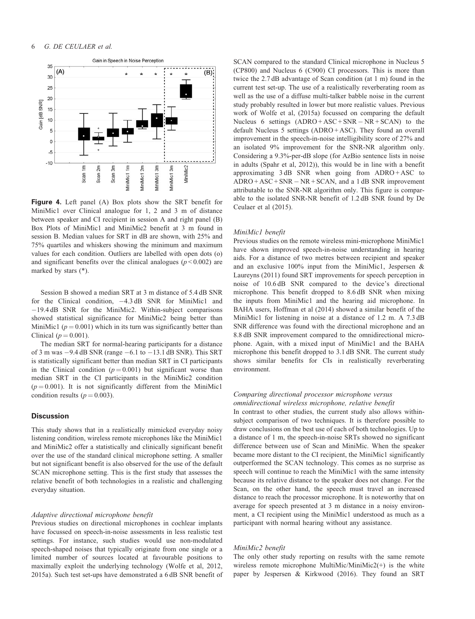<span id="page-5-0"></span>

Figure 4. Left panel (A) Box plots show the SRT benefit for MiniMic1 over Clinical analogue for 1, 2 and 3 m of distance between speaker and CI recipient in session A and right panel (B) Box Plots of MiniMic1 and MiniMic2 benefit at 3 m found in session B. Median values for SRT in dB are shown, with 25% and 75% quartiles and whiskers showing the minimum and maximum values for each condition. Outliers are labelled with open dots (o) and significant benefits over the clinical analogues ( $p \le 0.002$ ) are marked by stars (\*).

Session B showed a median SRT at 3 m distance of 5.4 dB SNR for the Clinical condition,  $-4.3$  dB SNR for MiniMic1 and  $-19.4$  dB SNR for the MiniMic2. Within-subject comparisons showed statistical significance for MiniMic2 being better than MiniMic1 ( $p = 0.001$ ) which in its turn was significantly better than Clinical ( $p = 0.001$ ).

The median SRT for normal-hearing participants for a distance of 3 m was  $-9.4$  dB SNR (range  $-6.1$  to  $-13.1$  dB SNR). This SRT is statistically significant better than median SRT in CI participants in the Clinical condition ( $p = 0.001$ ) but significant worse than median SRT in the CI participants in the MiniMic2 condition  $(p = 0.001)$ . It is not significantly different from the MiniMic1 condition results ( $p = 0.003$ ).

# **Discussion**

This study shows that in a realistically mimicked everyday noisy listening condition, wireless remote microphones like the MiniMic1 and MiniMic2 offer a statistically and clinically significant benefit over the use of the standard clinical microphone setting. A smaller but not significant benefit is also observed for the use of the default SCAN microphone setting. This is the first study that assesses the relative benefit of both technologies in a realistic and challenging everyday situation.

#### Adaptive directional microphone benefit

Previous studies on directional microphones in cochlear implants have focussed on speech-in-noise assessments in less realistic test settings. For instance, such studies would use non-modulated speech-shaped noises that typically originate from one single or a limited number of sources located at favourable positions to maximally exploit the underlying technology (Wolfe et al, [2012](#page-6-0), [2015a](#page-6-0)). Such test set-ups have demonstrated a 6 dB SNR benefit of

SCAN compared to the standard Clinical microphone in Nucleus 5 (CP800) and Nucleus 6 (C900) CI processors. This is more than twice the 2.7 dB advantage of Scan condition (at 1 m) found in the current test set-up. The use of a realistically reverberating room as well as the use of a diffuse multi-talker babble noise in the current study probably resulted in lower but more realistic values. Previous work of Wolfe et al, ([2015a\)](#page-6-0) focussed on comparing the default Nucleus 6 settings  $(ADRO + ASC + SNR - NR + SCAN)$  to the default Nucleus 5 settings (ADRO + ASC). They found an overall improvement in the speech-in-noise intelligibility score of 27% and an isolated 9% improvement for the SNR-NR algorithm only. Considering a 9.3%-per-dB slope (for AzBio sentence lists in noise in adults (Spahr et al, [2012](#page-6-0))), this would be in line with a benefit approximating  $3 dB$  SNR when going from  $ADRO + ASC$  to  $ADRO + ASC + SNR - NR + SCAN$ , and a 1 dB SNR improvement attributable to the SNR-NR algorithm only. This figure is comparable to the isolated SNR-NR benefit of 1.2 dB SNR found by De Ceulaer et al ([2015](#page-6-0)).

# MiniMic1 benefit

Previous studies on the remote wireless mini-microphone MiniMic1 have shown improved speech-in-noise understanding in hearing aids. For a distance of two metres between recipient and speaker and an exclusive 100% input from the MiniMic1, Jespersen & Laureyns [\(2011](#page-6-0)) found SRT improvements for speech perception in noise of 10.6 dB SNR compared to the device's directional microphone. This benefit dropped to 8.6 dB SNR when mixing the inputs from MiniMic1 and the hearing aid microphone. In BAHA users, Hoffman et al (2014) showed a similar benefit of the MiniMic1 for listening in noise at a distance of 1.2 m. A 7.3 dB SNR difference was found with the directional microphone and an 8.8 dB SNR improvement compared to the omnidirectional microphone. Again, with a mixed input of MiniMic1 and the BAHA microphone this benefit dropped to 3.1 dB SNR. The current study shows similar benefits for CIs in realistically reverberating environment.

# Comparing directional processor microphone versus omnidirectional wireless microphone, relative benefit

In contrast to other studies, the current study also allows withinsubject comparison of two techniques. It is therefore possible to draw conclusions on the best use of each of both technologies. Up to a distance of 1 m, the speech-in-noise SRTs showed no significant difference between use of Scan and MiniMic. When the speaker became more distant to the CI recipient, the MiniMic1 significantly outperformed the SCAN technology. This comes as no surprise as speech will continue to reach the MiniMic1 with the same intensity because its relative distance to the speaker does not change. For the Scan, on the other hand, the speech must travel an increased distance to reach the processor microphone. It is noteworthy that on average for speech presented at 3 m distance in a noisy environment, a CI recipient using the MiniMic1 understood as much as a participant with normal hearing without any assistance.

#### MiniMic2 benefit

The only other study reporting on results with the same remote wireless remote microphone MultiMic/MiniMic2(+) is the white paper by Jespersen & Kirkwood ([2016\)](#page-6-0). They found an SRT